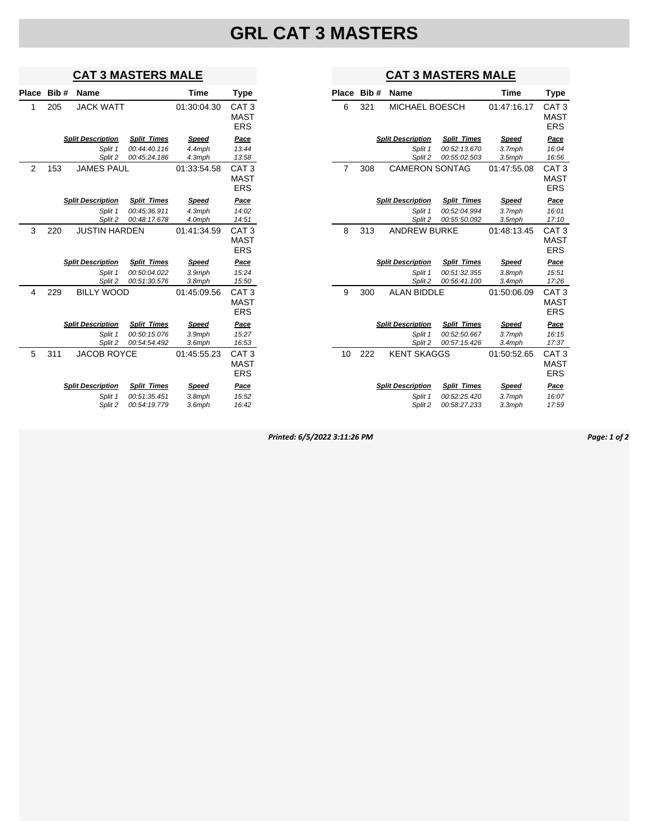## **GRL CAT 3 MASTERS**

#### **CAT 3 MASTERS MALE**

| Place | Bib# | Name                     |                    | <b>Time</b>  | <b>Type</b>      |
|-------|------|--------------------------|--------------------|--------------|------------------|
| 6     | 321  | MICHAEL BOESCH           |                    | 01:47:16.17  | CAT 3            |
|       |      |                          |                    |              | MAST             |
|       |      |                          |                    |              | <b>ERS</b>       |
|       |      | <b>Split Description</b> | <b>Split Times</b> | <b>Speed</b> | Pace             |
|       |      | Split 1                  | 00:52:13.670       | 3.7mph       | 16:04            |
|       |      | Split 2                  | 00:55:02.503       | $3.5$ mph    | 16:56            |
| 7     | 308  | <b>CAMERON SONTAG</b>    |                    | 01:47:55.08  | CAT <sub>3</sub> |
|       |      |                          |                    |              | <b>MAST</b>      |
|       |      |                          |                    |              | <b>ERS</b>       |
|       |      | <b>Split Description</b> | <b>Split Times</b> | Speed        | Pace             |
|       |      | Split 1                  | 00:52:04.994       | 3.7mph       | 16:01            |
|       |      | Split 2                  | 00:55:50.092       | $3.5$ mph    | 17:10            |
| 8     | 313  | <b>ANDREW BURKE</b>      |                    | 01:48:13.45  | CAT <sub>3</sub> |
|       |      |                          |                    |              | <b>MAST</b>      |
|       |      |                          |                    |              | ERS              |
|       |      | <b>Split Description</b> | <b>Split Times</b> | <b>Speed</b> | Pace             |
|       |      | Split 1                  | 00:51:32.355       | 3.8mph       | 15:51            |
|       |      | Split 2                  | 00:56:41.100       | 3.4mph       | 17:26            |
| 9     | 300  | <b>ALAN BIDDLE</b>       |                    | 01:50:06.09  | CAT <sub>3</sub> |
|       |      |                          |                    |              | MAST             |
|       |      |                          |                    |              | <b>ERS</b>       |
|       |      | <b>Split Description</b> | <b>Split Times</b> | Speed        | Pace             |
|       |      | Split 1                  | 00:52:50.667       | 3.7mph       | 16:15            |
|       |      | Split 2                  | 00:57:15.426       | 3.4mph       | 17:37            |
| 10    | 222  | <b>KENT SKAGGS</b>       |                    | 01:50:52.65  | CAT <sub>3</sub> |
|       |      |                          |                    |              | <b>MAST</b>      |
|       |      |                          |                    |              | ERS              |
|       |      | <b>Split Description</b> | <b>Split Times</b> | Speed        | Pace             |
|       |      | Split 1                  | 00:52:25.420       | 3.7mph       | 16:07            |
|       |      | Split 2                  | 00:58:27.233       | $3.3$ mph    | 17:59            |

## **CAT 3 MASTERS MALE**

| <b>Place</b>   | Bib# | <b>Name</b>                         |                                    | <b>Time</b>      | Type                                          |
|----------------|------|-------------------------------------|------------------------------------|------------------|-----------------------------------------------|
| 1              | 205  | <b>JACK WATT</b>                    |                                    | 01:30:04.30      | CAT <sub>3</sub><br><b>MAST</b><br><b>ERS</b> |
|                |      | <b>Split Description</b>            | <b>Split Times</b>                 | <b>Speed</b>     | Pace                                          |
|                |      | Split 1<br>Split 2                  | 00:44:40.116<br>00:45:24.186       | 4.4mph<br>4.3mph | 13:44<br>13:58                                |
| $\overline{2}$ | 153  | <b>JAMES PAUL</b>                   |                                    | 01:33:54.58      | CAT <sub>3</sub><br><b>MAST</b><br><b>ERS</b> |
|                |      | <b>Split Description</b>            | <b>Split Times</b>                 | <b>Speed</b>     | Pace                                          |
|                |      | Split 1<br>Split 2                  | 00:45:36.911<br>00:48:17.678       | 4.3mph<br>4.0mph | 14:02<br>14:51                                |
| 3              | 220  | <b>JUSTIN HARDEN</b>                |                                    | 01:41:34.59      | CAT <sub>3</sub><br><b>MAST</b><br><b>ERS</b> |
|                |      | <b>Split Description</b>            | <b>Split Times</b>                 | <b>Speed</b>     | Pace                                          |
|                |      | Split 1<br>Split 2                  | 00:50:04.022<br>00:51:30.576       | 3.9mph<br>3.8mph | 15:24<br>15:50                                |
| 4              | 229  | <b>BILLY WOOD</b>                   |                                    | 01:45:09.56      | CAT <sub>3</sub><br><b>MAST</b><br><b>ERS</b> |
|                |      | <b>Split Description</b>            | <b>Split Times</b>                 | <b>Speed</b>     | Pace                                          |
|                |      | Split 1<br>Split 2                  | 00:50:15.076<br>00:54:54.492       | 3.9mph<br>3.6mph | 15:27<br>16:53                                |
| 5              | 311  | <b>JACOB ROYCE</b>                  |                                    | 01:45:55.23      | CAT <sub>3</sub><br><b>MAST</b><br><b>ERS</b> |
|                |      | <b>Split Description</b><br>Split 1 | <b>Split Times</b><br>00:51:35.451 | Speed<br>3.8mph  | Pace<br>15:52                                 |
|                |      | Split 2                             | 00:54:19.779                       | 3.6mph           | 16:42                                         |

*Printed: 6/5/2022 3:11:26 PM Page: 1 of 2*